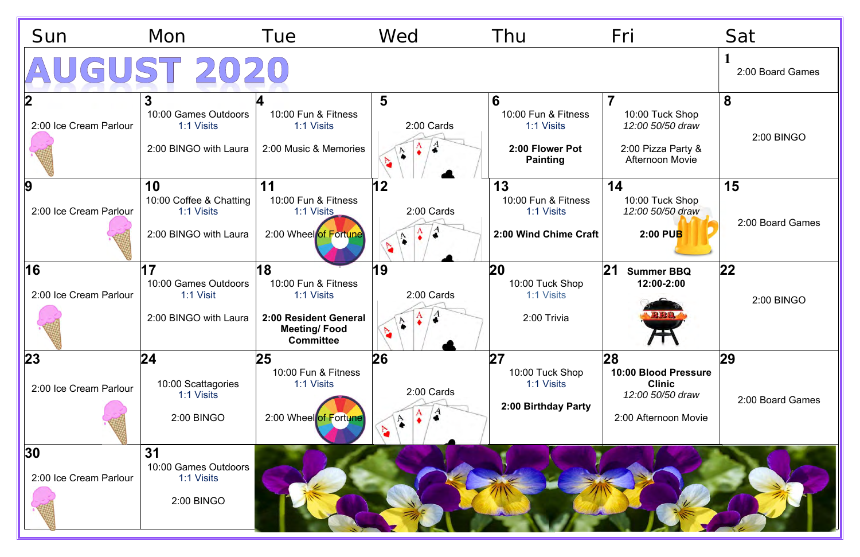| Sun                                        | Mon                                                                         | Tue                                                                                                         | Wed                                           | Thu                                                                          | Fri                                                                                     | Sat                    |
|--------------------------------------------|-----------------------------------------------------------------------------|-------------------------------------------------------------------------------------------------------------|-----------------------------------------------|------------------------------------------------------------------------------|-----------------------------------------------------------------------------------------|------------------------|
| AUGUST 2020                                |                                                                             |                                                                                                             |                                               |                                                                              |                                                                                         | 2:00 Board Games       |
| 2:00 Ice Cream Parlour                     | $\mathbf{3}$<br>10:00 Games Outdoors<br>1:1 Visits<br>2:00 BINGO with Laura | 10:00 Fun & Fitness<br>1:1 Visits<br>2:00 Music & Memories                                                  | 5<br>2:00 Cards<br>۰<br>Þ,                    | 6<br>10:00 Fun & Fitness<br>1:1 Visits<br>2:00 Flower Pot<br><b>Painting</b> | 10:00 Tuck Shop<br>12:00 50/50 draw<br>2:00 Pizza Party &<br><b>Afternoon Movie</b>     | 8<br>2:00 BINGO        |
| $\boldsymbol{9}$<br>2:00 Ice Cream Parlour | 10<br>10:00 Coffee & Chatting<br>1:1 Visits<br>2:00 BINGO with Laura        | 11<br>10:00 Fun & Fitness<br>1:1 Visits<br>2:00 Wheel of Fortune                                            | 12<br>2:00 Cards<br>A<br>$\hat{\bullet}$<br>N | 13<br>10:00 Fun & Fitness<br>1:1 Visits<br>2:00 Wind Chime Craft             | 14<br>10:00 Tuck Shop<br>12:00 50/50 draw<br>$2:00$ PUB                                 | 15<br>2:00 Board Games |
| 16<br>2:00 Ice Cream Parlour               | 17<br>10:00 Games Outdoors<br>1:1 Visit<br>2:00 BINGO with Laura            | 18<br>10:00 Fun & Fitness<br>1:1 Visits<br>2:00 Resident General<br><b>Meeting/Food</b><br><b>Committee</b> | 19<br>2:00 Cards<br>$\mathbf{A}$<br>$\bullet$ | 20<br>10:00 Tuck Shop<br>1:1 Visits<br>2:00 Trivia                           | 21<br><b>Summer BBQ</b><br>12:00-2:00<br><b>BBQ</b>                                     | 22 <br>2:00 BINGO      |
| 23 <br>2:00 Ice Cream Parlour              | 24 <br>10:00 Scattagories<br>1:1 Visits<br>2:00 BINGO                       | 25<br>10:00 Fun & Fitness<br>1:1 Visits<br>2:00 Wheel of Fortune                                            | 26<br>2:00 Cards<br>$\frac{A}{\bullet}$<br>d. | 27<br>10:00 Tuck Shop<br>1:1 Visits<br>2:00 Birthday Party                   | 28<br>10:00 Blood Pressure<br><b>Clinic</b><br>12:00 50/50 draw<br>2:00 Afternoon Movie | 29<br>2:00 Board Games |
| 30 <br>2:00 Ice Cream Parlour              | 31<br>10:00 Games Outdoors<br>1:1 Visits<br>2:00 BINGO                      |                                                                                                             |                                               |                                                                              |                                                                                         |                        |